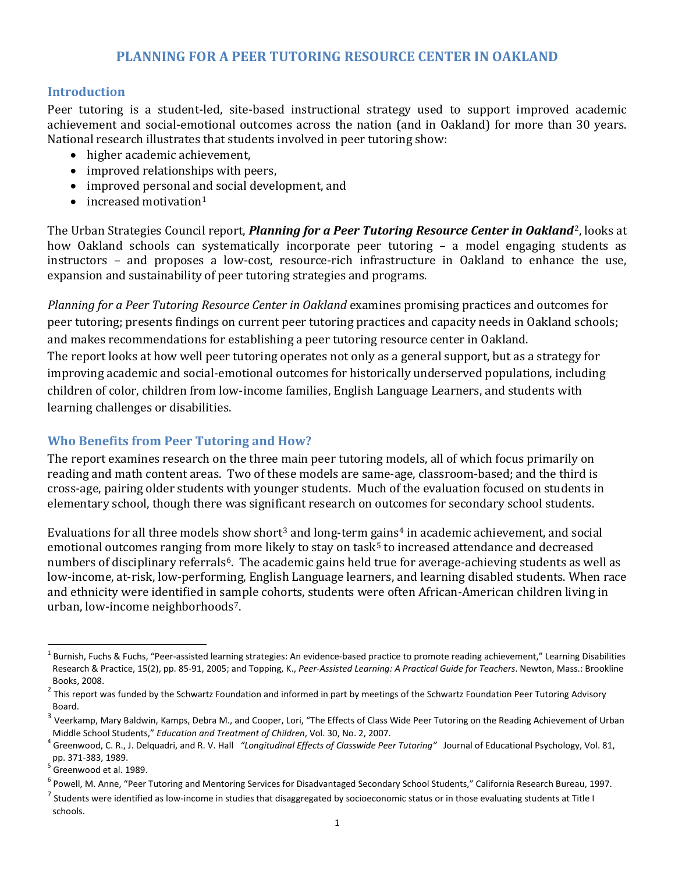## **PLANNING FOR A PEER TUTORING RESOURCE CENTER IN OAKLAND**

#### **Introduction**

Peer tutoring is a student-led, site-based instructional strategy used to support improved academic achievement and social-emotional outcomes across the nation (and in Oakland) for more than 30 years. National research illustrates that students involved in peer tutoring show:

- higher academic achievement,
- improved relationships with peers,
- improved personal and social development, and
- $\bullet$  increased motivation<sup>[1](#page-0-0)</sup>

The Urban Strategies Council report, *Planning for a Peer Tutoring Resource Center in Oakland<sup>2</sup>, looks at* how Oakland schools can systematically incorporate peer tutoring – a model engaging st[ud](#page-0-1)ents as instructors – and proposes a low-cost, resource-rich infrastructure in Oakland to enhance the use, expansion and sustainability of peer tutoring strategies and programs.

*Planning for a Peer Tutoring Resource Center in Oakland* examines promising practices and outcomes for peer tutoring; presents findings on current peer tutoring practices and capacity needs in Oakland schools; and makes recommendations for establishing a peer tutoring resource center in Oakland. The report looks at how well peer tutoring operates not only as a general support, but as a strategy for improving academic and social-emotional outcomes for historically underserved populations, including children of color, children from low-income families, English Language Learners, and students with learning challenges or disabilities.

### **Who Benefits from Peer Tutoring and How?**

The report examines research on the three main peer tutoring models, all of which focus primarily on reading and math content areas. Two of these models are same-age, classroom-based; and the third is cross-age, pairing older students with younger students. Much of the evaluation focused on students in elementary school, though there was significant research on outcomes for secondary school students.

Evaluations for all three models show short<sup>[3](#page-0-2)</sup> and long-term [ga](#page-0-4)ins<sup>[4](#page-0-3)</sup> in academic achievement, and social emotional outcomes ranging fro[m](#page-0-5) more likely to stay on task<sup>5</sup> to increased attendance and decreased numbers of disciplinary referrals<sup>6</sup>. The academic gains held true for average-achieving students as well as low-income, at-risk, low-performing, English Language learners, and learning disabled students. When race and ethnicity were identified in sample cohorts, students were often African-American children living in urban, low-income neighborhoods<sup>[7](#page-0-6)</sup>.

<span id="page-0-0"></span> $1$  Burnish, Fuchs & Fuchs, "Peer-assisted learning strategies: An evidence-based practice to promote reading achievement," Learning Disabilities Research & Practice, 15(2), pp. 85-91, 2005; and Topping, K., *Peer-Assisted Learning: A Practical Guide for Teachers*. Newton, Mass.: Brookline Books, 2008.

<span id="page-0-1"></span><sup>2</sup> This report was funded by the Schwartz Foundation and informed in part by meetings of the Schwartz Foundation Peer Tutoring Advisory Board.

<span id="page-0-2"></span> $3$  Veerkamp, Mary Baldwin, Kamps, Debra M., and Cooper, Lori, "The Effects of Class Wide Peer Tutoring on the Reading Achievement of Urban

<span id="page-0-3"></span>Middle School Students," Education and Treatment of Children, Vol. 30, No. 2, 2007.<br><sup>4</sup> Greenwood, C. R., J. Delquadri, and R. V. Hall *"Longitudinal Effects of Classwide Peer Tutoring"* Journal of Educational Psychology, pp. 371-383, 1989.<br> $5$  Greenwood et al. 1989.

<span id="page-0-4"></span>

<span id="page-0-5"></span><sup>&</sup>lt;sup>6</sup> Powell, M. Anne, "Peer Tutoring and Mentoring Services for Disadvantaged Secondary School Students," California Research Bureau, 1997.

<span id="page-0-6"></span> $^7$  Students were identified as low-income in studies that disaggregated by socioeconomic status or in those evaluating students at Title I schools.